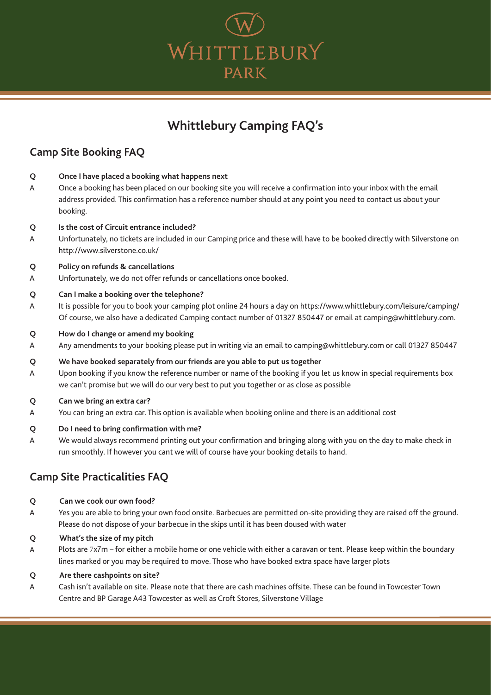

# **Whittlebury Camping FAQ's**

## **Camp Site Booking FAQ**

- **Q Once I have placed a booking what happens next**
- A Once a booking has been placed on our booking site you will receive a confirmation into your inbox with the email address provided. This confirmation has a reference number should at any point you need to contact us about your booking.
- **Q Is the cost of Circuit entrance included?**
- A Unfortunately, no tickets are included in our Camping price and these will have to be booked directly with Silverstone on http://www.silverstone.co.uk/

### **Q Policy on refunds & cancellations**

A Unfortunately, we do not offer refunds or cancellations once booked.

### **Q Can I make a booking over the telephone?**

- A It is possible for you to book your camping plot online 24 hours a day on https://www.whittlebury.com/leisure/camping/ Of course, we also have a dedicated Camping contact number of 01327 850447 or email at camping@whittlebury.com.
- **Q How do I change or amend my booking**
- A Any amendments to your booking please put in writing via an email to camping@whittlebury.com or call 01327 850447

#### **Q We have booked separately from our friends are you able to put us together**

A Upon booking if you know the reference number or name of the booking if you let us know in special requirements box we can't promise but we will do our very best to put you together or as close as possible

#### **Q Can we bring an extra car?**

A You can bring an extra car. This option is available when booking online and there is an additional cost

#### **Q Do I need to bring confirmation with me?**

A We would always recommend printing out your confirmation and bringing along with you on the day to make check in run smoothly. If however you cant we will of course have your booking details to hand.

## **Camp Site Practicalities FAQ**

#### **Q Can we cook our own food?**

- A Yes you are able to bring your own food onsite. Barbecues are permitted on-site providing they are raised off the ground. Please do not dispose of your barbecue in the skips until it has been doused with water
- **Q What's the size of my pitch**
- A Plots are 7x7m – for either a mobile home or one vehicle with either a caravan or tent. Please keep within the boundary lines marked or you may be required to move. Those who have booked extra space have larger plots

#### **Q Are there cashpoints on site?**

A Cash isn't available on site. Please note that there are cash machines offsite. These can be found in Towcester Town Centre and BP Garage A43 Towcester as well as Croft Stores, Silverstone Village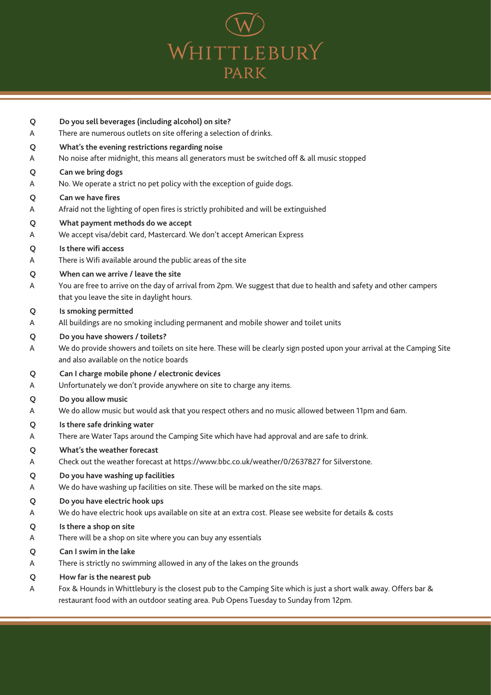

| Q           | Do you sell beverages (including alcohol) on site?                                                                                                                                                     |
|-------------|--------------------------------------------------------------------------------------------------------------------------------------------------------------------------------------------------------|
| Α           | There are numerous outlets on site offering a selection of drinks.                                                                                                                                     |
| Q           | What's the evening restrictions regarding noise                                                                                                                                                        |
| A           | No noise after midnight, this means all generators must be switched off & all music stopped                                                                                                            |
| Q           | Can we bring dogs                                                                                                                                                                                      |
| A           | No. We operate a strict no pet policy with the exception of guide dogs.                                                                                                                                |
| Q           | Can we have fires                                                                                                                                                                                      |
| A           | Afraid not the lighting of open fires is strictly prohibited and will be extinguished                                                                                                                  |
| Q           | What payment methods do we accept                                                                                                                                                                      |
| A           | We accept visa/debit card, Mastercard. We don't accept American Express                                                                                                                                |
| Q           | Is there wifi access                                                                                                                                                                                   |
| A           | There is Wifi available around the public areas of the site                                                                                                                                            |
| Q<br>A      | When can we arrive / leave the site<br>You are free to arrive on the day of arrival from 2pm. We suggest that due to health and safety and other campers<br>that you leave the site in daylight hours. |
| Q           | Is smoking permitted                                                                                                                                                                                   |
| A           | All buildings are no smoking including permanent and mobile shower and toilet units                                                                                                                    |
| Q<br>A      | Do you have showers / toilets?<br>We do provide showers and toilets on site here. These will be clearly sign posted upon your arrival at the Camping Site<br>and also available on the notice boards   |
| Q           | Can I charge mobile phone / electronic devices<br>Unfortunately we don't provide anywhere on site to charge any items.                                                                                 |
| A<br>Q<br>A | Do you allow music<br>We do allow music but would ask that you respect others and no music allowed between 11pm and 6am.                                                                               |
| Q           | Is there safe drinking water                                                                                                                                                                           |
| A           | There are Water Taps around the Camping Site which have had approval and are safe to drink.                                                                                                            |
| Q           | What's the weather forecast                                                                                                                                                                            |
| A           | Check out the weather forecast at https://www.bbc.co.uk/weather/0/2637827 for Silverstone.                                                                                                             |
| Q           | Do you have washing up facilities                                                                                                                                                                      |
| A           | We do have washing up facilities on site. These will be marked on the site maps.                                                                                                                       |
| Q           | Do you have electric hook ups                                                                                                                                                                          |
| A           | We do have electric hook ups available on site at an extra cost. Please see website for details & costs                                                                                                |
| Q           | Is there a shop on site                                                                                                                                                                                |
| A           | There will be a shop on site where you can buy any essentials                                                                                                                                          |
| Q           | Can I swim in the lake                                                                                                                                                                                 |
| A           | There is strictly no swimming allowed in any of the lakes on the grounds                                                                                                                               |
| Q           | How far is the nearest pub                                                                                                                                                                             |

A Fox & Hounds in Whittlebury is the closest pub to the Camping Site which is just a short walk away. Offers bar & restaurant food with an outdoor seating area. Pub Opens Tuesday to Sunday from 12pm.